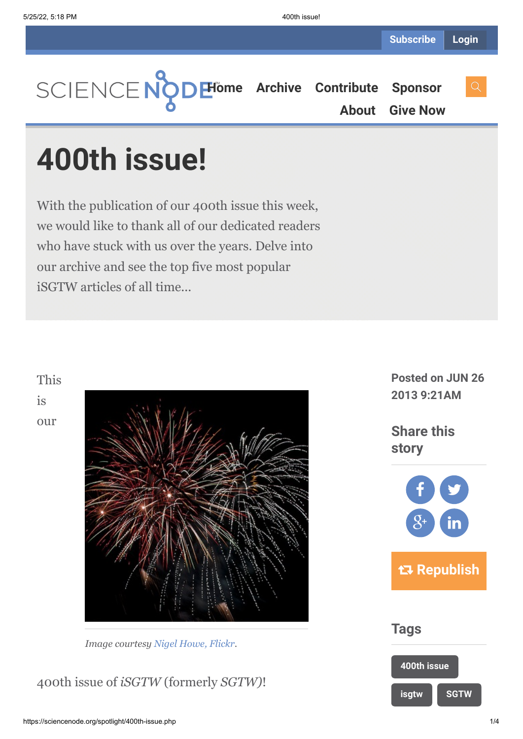**[Home](https://sciencenode.org/) [Archive](https://sciencenode.org/archive/index.php) [Contribute](https://sciencenode.org/contribute/index.php) [Sponsor](https://sciencenode.org/sponsor/index.php) [About](https://sciencenode.org/about/index.php) [Give Now](https://sciencenode.org/donate/index.php)**

## **400th issue!**

With the publication of our 400th issue this week, we would like to thank all of our dedicated readers who have stuck with us over the years. Delve into our archive and see the top five most popular iSGTW articles of all time...



*Image courtesy [Nigel Howe, Flickr](http://www.flickr.com/photos/40939157@N03/6376249625/in/photolist-aHrWSn-aCik4C-aHrWza-aHrWJ4-9zhpoh-9zhqy7-bgykme-9zhpFY-9zerir-bd5Tm6-aWZCHx-btMWQF-bgykmz-9zhovd-bgyeZR-b15NLK-9zhqEu-9zer4a-aWZCJ6-b15NMe-9zeqDV-bd5Tmk-bgykm6-bgykm2-bgyeZv-bgyeZD-b15NM6-bgyeZk-9zepoP-bgyeZH-bd5Tmx-aWZCJc-bd5Tm2-b15NLP-aWZCHV-9zeqJK-bgykmp-b15NLB-9zhq7y-bgyeZc-bd5TkZ-aWZCHM-9zhoN7-9zhpuu-b15NLZ-bd5Tmc-9rMxmJ-9rJyGZ-9rMwnw-8g8QNw-8g5A7a).*

400th issue of *iSGTW* (formerly *SGTW)*!

**Posted on JUN 26 2013 9:21AM**

**Share this story**



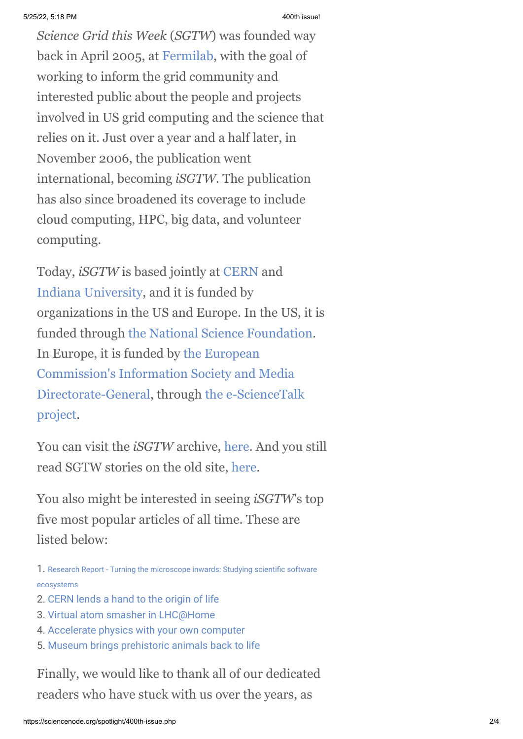*Science Grid this Week* (*SGTW*) was founded way back in April 2005, at [Fermilab](http://www.fnal.gov/), with the goal of working to inform the grid community and interested public about the people and projects involved in US grid computing and the science that relies on it. Just over a year and a half later, in November 2006, the publication went international, becoming *iSGTW.* The publication has also since broadened its coverage to include cloud computing, HPC, big data, and volunteer computing.

Today, *iSGTW* is based jointly at [CERN](http://home.web.cern.ch/) and [Indiana University,](http://www.indiana.edu/) and it is funded by organizations in the US and Europe. In the US, it is funded through [the National Science Foundation.](http://www.nsf.gov/) In Europe, it is funded by the European [Commission's Information Society and Media](http://ec.europa.eu/dgs/connect/) [Directorate-General, through the e-ScienceTalk](http://www.e-sciencetalk.org/) project.

You can visit the *iSGTW* archive, [here](http://www.isgtw.org/archive). And you still read SGTW stories on the old site, [here](http://www.interactions.org/sgtw/pages/archive.html).

You also might be interested in seeing *iSGTW*'s top five most popular articles of all time. These are listed below:

- 1. [Research Report Turning the microscope inwards: Studying scientific software](http://www.isgtw.org/feature/research-report-turning-microscope-inwards-studying-scientific-software-ecosystems) ecosystems
- 2. [CERN lends a hand to the origin of life](http://www.isgtw.org//feature/cern-lends-hand-origin-life)
- 3. [Virtual atom smasher in LHC@Home](http://www.isgtw.org/feature/virtual-atom-smasher-lhchome)
- 4. [Accelerate physics with your own computer](http://www.isgtw.org/feature/accelerate-physics-your-own-computer)
- 5. [Museum brings prehistoric animals back to life](http://www.isgtw.org/visualization/museum-brings-prehistoric-animals-back-life)

Finally, we would like to thank all of our dedicated readers who have stuck with us over the years, as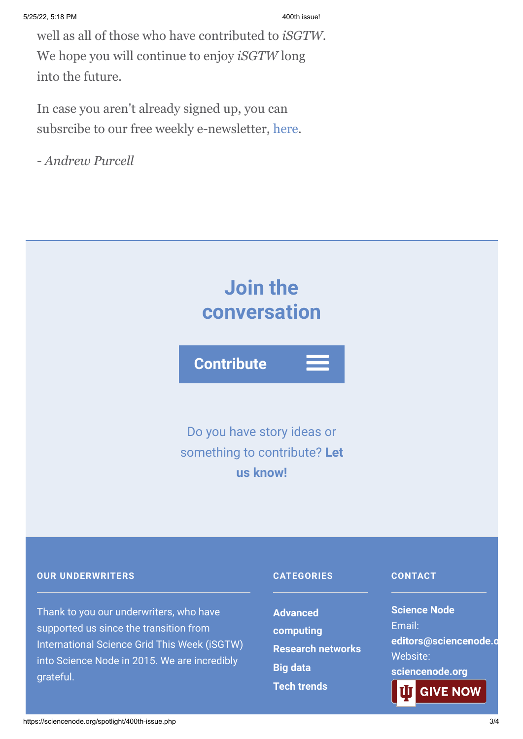well as all of those who have contributed to *iSGTW*. We hope you will continue to enjoy *iSGTW* long into the future.

In case you aren't already signed up, you can subsrcibe to our free weekly e-newsletter, [here](http://www.isgtw.org/user/subscribe).

*- Andrew Purcell*



**[Tech trends](https://sciencenode.org/archive/?year=2016&category=Advanced%20computing&category=Research%20networks&category=Big%20data&category=Tech%20trends)**

**GIVE NOW** 

into Science Node in 2015. We are incredibly grateful.